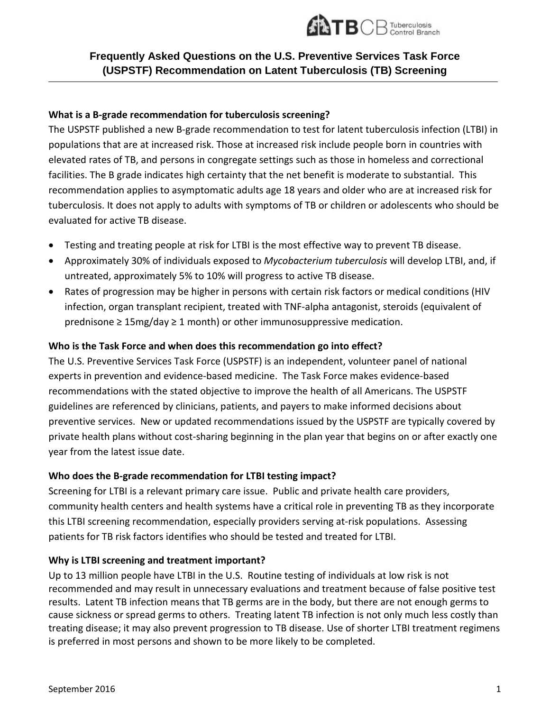

# **Frequently Asked Questions on the U.S. Preventive Services Task Force (USPSTF) Recommendation on Latent Tuberculosis (TB) Screening**

## **What is a B-grade recommendation for tuberculosis screening?**

The USPSTF published a new B-grade recommendation to test for latent tuberculosis infection (LTBI) in populations that are at increased risk. Those at increased risk include people born in countries with elevated rates of TB, and persons in congregate settings such as those in homeless and correctional facilities. The B grade indicates high certainty that the net benefit is moderate to substantial. This recommendation applies to asymptomatic adults age 18 years and older who are at increased risk for tuberculosis. It does not apply to adults with symptoms of TB or children or adolescents who should be evaluated for active TB disease.

- Testing and treating people at risk for LTBI is the most effective way to prevent TB disease.
- Approximately 30% of individuals exposed to *Mycobacterium tuberculosis* will develop LTBI, and, if untreated, approximately 5% to 10% will progress to active TB disease.
- Rates of progression may be higher in persons with certain risk factors or medical conditions (HIV infection, organ transplant recipient, treated with TNF-alpha antagonist, steroids (equivalent of prednisone  $\geq 15$ mg/day  $\geq 1$  month) or other immunosuppressive medication.

# **Who is the Task Force and when does this recommendation go into effect?**

The U.S. Preventive Services Task Force (USPSTF) is an independent, volunteer panel of national experts in prevention and evidence-based medicine. The Task Force makes evidence-based recommendations with the stated objective to improve the health of all Americans. The USPSTF guidelines are referenced by clinicians, patients, and payers to make informed decisions about preventive services. New or updated recommendations issued by the USPSTF are typically covered by private health plans without cost-sharing beginning in the plan year that begins on or after exactly one year from the latest issue date.

# **Who does the B-grade recommendation for LTBI testing impact?**

Screening for LTBI is a relevant primary care issue. Public and private health care providers, community health centers and health systems have a critical role in preventing TB as they incorporate this LTBI screening recommendation, especially providers serving at-risk populations. Assessing patients for TB risk factors identifies who should be tested and treated for LTBI.

#### **Why is LTBI screening and treatment important?**

Up to 13 million people have LTBI in the U.S. Routine testing of individuals at low risk is not recommended and may result in unnecessary evaluations and treatment because of false positive test results. Latent TB infection means that TB germs are in the body, but there are not enough germs to cause sickness or spread germs to others. Treating latent TB infection is not only much less costly than treating disease; it may also prevent progression to TB disease. Use of shorter LTBI treatment regimens is preferred in most persons and shown to be more likely to be completed.